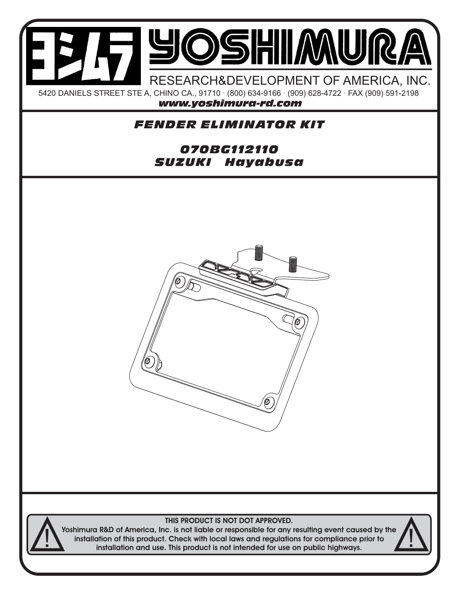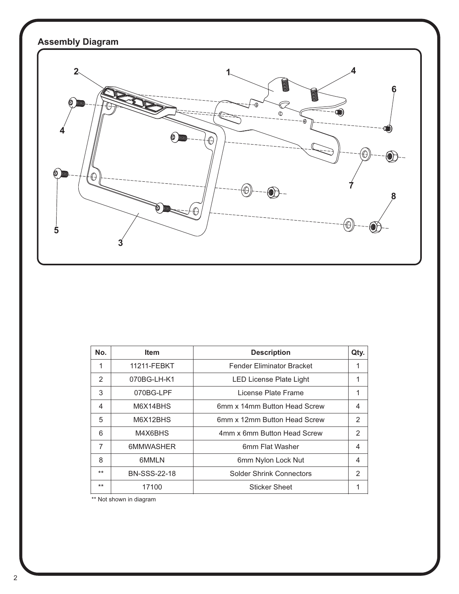

| No.   | <b>Item</b>         | <b>Description</b>               | Qty.           |
|-------|---------------------|----------------------------------|----------------|
| 1     | 11211-FEBKT         | <b>Fender Eliminator Bracket</b> | 1              |
| 2     | 070BG-LH-K1         | LED License Plate Light          | 1              |
| 3     | 070BG-LPF           | License Plate Frame              | 1              |
| 4     | M6X14BHS            | 6mm x 14mm Button Head Screw     | 4              |
| 5     | M6X12BHS            | 6mm x 12mm Button Head Screw     | 2              |
| 6     | M4X6BHS             | 4mm x 6mm Button Head Screw      | $\mathfrak{p}$ |
| 7     | 6MMWASHER           | 6mm Flat Washer                  | 4              |
| 8     | 6MMLN               | 6mm Nylon Lock Nut               | 4              |
| $***$ | <b>BN-SSS-22-18</b> | <b>Solder Shrink Connectors</b>  | $\mathfrak{p}$ |
| $***$ | 17100               | <b>Sticker Sheet</b>             |                |

\*\* Not shown in diagram